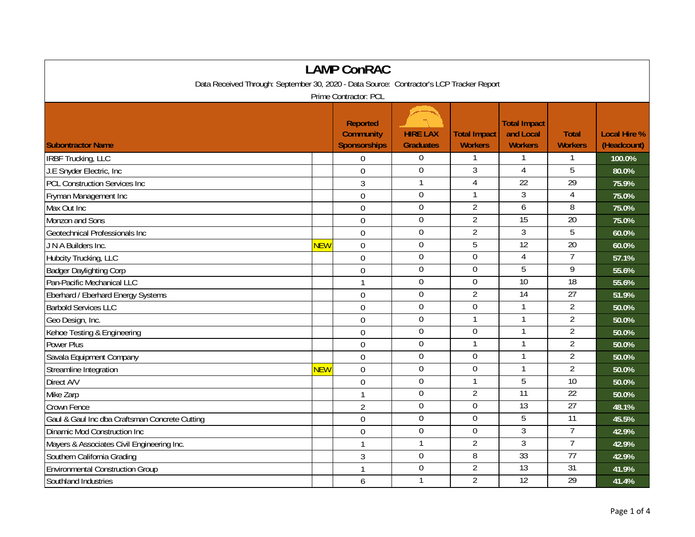| <b>LAMP ConRAC</b>                                                                       |            |                                                            |                                     |                                       |                                                    |                                |                                    |  |
|------------------------------------------------------------------------------------------|------------|------------------------------------------------------------|-------------------------------------|---------------------------------------|----------------------------------------------------|--------------------------------|------------------------------------|--|
| Data Received Through: September 30, 2020 - Data Source: Contractor's LCP Tracker Report |            |                                                            |                                     |                                       |                                                    |                                |                                    |  |
| Prime Contractor: PCL                                                                    |            |                                                            |                                     |                                       |                                                    |                                |                                    |  |
| <b>Subontractor Name</b>                                                                 |            | <b>Reported</b><br><b>Community</b><br><b>Sponsorships</b> | <b>HIRE LAX</b><br><b>Graduates</b> | <b>Total Impact</b><br><b>Workers</b> | <b>Total Impact</b><br>and Local<br><b>Workers</b> | <b>Total</b><br><b>Workers</b> | <b>Local Hire %</b><br>(Headcount) |  |
| <b>IRBF Trucking, LLC</b>                                                                |            | 0                                                          | $\boldsymbol{0}$                    |                                       |                                                    |                                | 100.0%                             |  |
| J.E Snyder Electric, Inc                                                                 |            | $\overline{0}$                                             | $\mathbf 0$                         | 3                                     | 4                                                  | 5                              | 80.0%                              |  |
| <b>PCL Construction Services Inc</b>                                                     |            | 3                                                          | $\mathbf{1}$                        | 4                                     | 22                                                 | 29                             | 75.9%                              |  |
| Fryman Management Inc                                                                    |            | $\overline{0}$                                             | $\mathbf 0$                         | $\mathbf{1}$                          | $\mathfrak{Z}$                                     | $\overline{4}$                 | 75.0%                              |  |
| Max Out Inc                                                                              |            | $\boldsymbol{0}$                                           | $\mathbf 0$                         | $\overline{2}$                        | 6                                                  | 8                              | 75.0%                              |  |
| Monzon and Sons                                                                          |            | $\mathbf 0$                                                | $\mathbf 0$                         | $\overline{2}$                        | 15                                                 | 20                             | 75.0%                              |  |
| Geotechnical Professionals Inc                                                           |            | $\mathbf 0$                                                | $\boldsymbol{0}$                    | $\overline{2}$                        | $\overline{3}$                                     | $\overline{5}$                 | 60.0%                              |  |
| J N A Builders Inc.                                                                      | <b>NEW</b> | $\mathbf 0$                                                | $\boldsymbol{0}$                    | 5                                     | $\overline{12}$                                    | $\overline{20}$                | 60.0%                              |  |
| Hubcity Trucking, LLC                                                                    |            | $\overline{0}$                                             | $\mathbf 0$                         | $\mathbf 0$                           | $\overline{4}$                                     | $\overline{7}$                 | 57.1%                              |  |
| <b>Badger Daylighting Corp</b>                                                           |            | 0                                                          | $\boldsymbol{0}$                    | $\mathbf 0$                           | 5                                                  | 9                              | 55.6%                              |  |
| Pan-Pacific Mechanical LLC                                                               |            | $\mathbf{1}$                                               | $\mathbf 0$                         | 0                                     | 10                                                 | 18                             | 55.6%                              |  |
| Eberhard / Eberhard Energy Systems                                                       |            | $\overline{0}$                                             | $\mathbf 0$                         | $\overline{2}$                        | 14                                                 | $\overline{27}$                | 51.9%                              |  |
| <b>Barbold Services LLC</b>                                                              |            | $\mathbf 0$                                                | $\mathbf 0$                         | 0                                     |                                                    | $\overline{2}$                 | 50.0%                              |  |
| Geo Design, Inc.                                                                         |            | $\mathbf 0$                                                | $\mathbf 0$                         | 1                                     | $\mathbf{1}$                                       | $\overline{2}$                 | 50.0%                              |  |
| Kehoe Testing & Engineering                                                              |            | $\theta$                                                   | $\overline{0}$                      | $\mathbf 0$                           | $\mathbf{1}$                                       | $\overline{2}$                 | 50.0%                              |  |
| Power Plus                                                                               |            | $\mathbf 0$                                                | $\boldsymbol{0}$                    | 1                                     | $\mathbf{1}$                                       | $\overline{2}$                 | 50.0%                              |  |
| Savala Equipment Company                                                                 |            | $\overline{0}$                                             | $\mathbf 0$                         | $\mathbf 0$                           | $\mathbf{1}$                                       | $\overline{2}$                 | 50.0%                              |  |
| Streamline Integration                                                                   | <b>NEW</b> | $\mathbf 0$                                                | $\mathbf 0$                         | 0                                     | -1                                                 | $\overline{2}$                 | 50.0%                              |  |
| Direct A/V                                                                               |            | $\mathbf 0$                                                | $\overline{0}$                      |                                       | 5                                                  | 10                             | 50.0%                              |  |
| Mike Zarp                                                                                |            | $\mathbf{1}$                                               | $\boldsymbol{0}$                    | $\overline{2}$                        | 11                                                 | $\overline{22}$                | 50.0%                              |  |
| Crown Fence                                                                              |            | $\overline{2}$                                             | $\mathbf 0$                         | $\mathbf 0$                           | $\overline{13}$                                    | 27                             | 48.1%                              |  |
| Gaul & Gaul Inc dba Craftsman Concrete Cutting                                           |            | $\overline{0}$                                             | $\mathbf 0$                         | $\mathbf 0$                           | 5                                                  | $\overline{11}$                | 45.5%                              |  |
| Dinamic Mod Construction Inc                                                             |            | 0                                                          | $\mathbf 0$                         | 0                                     | $\overline{3}$                                     | 7                              | 42.9%                              |  |
| Mayers & Associates Civil Engineering Inc.                                               |            | $\mathbf{1}$                                               | $\mathbf{1}$                        | $\overline{2}$                        | 3                                                  | $\overline{7}$                 | 42.9%                              |  |
| Southern California Grading                                                              |            | 3                                                          | $\overline{0}$                      | 8                                     | 33                                                 | $\overline{77}$                | 42.9%                              |  |
| <b>Environmental Construction Group</b>                                                  |            | $\mathbf{1}$                                               | $\mathbf 0$                         | $\overline{2}$                        | 13                                                 | 31                             | 41.9%                              |  |
| Southland Industries                                                                     |            | 6                                                          | $\mathbf{1}$                        | $\overline{2}$                        | 12                                                 | 29                             | 41.4%                              |  |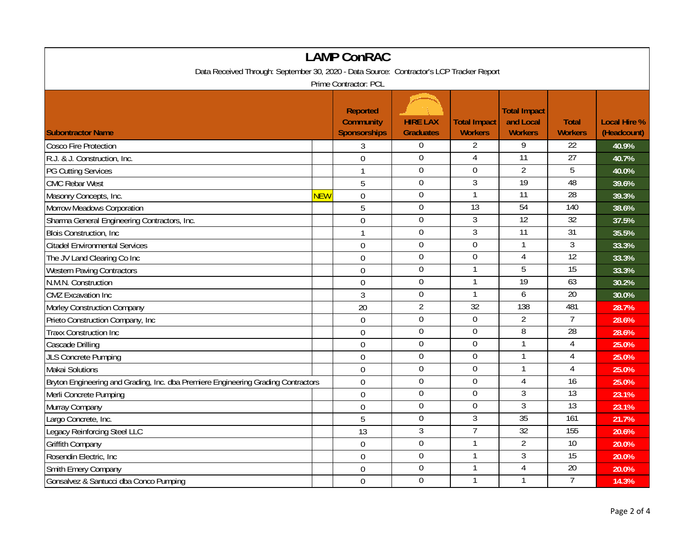| <b>LAMP ConRAC</b>                                                                       |            |                                                            |                                     |                                       |                                                    |                                |                                    |  |
|------------------------------------------------------------------------------------------|------------|------------------------------------------------------------|-------------------------------------|---------------------------------------|----------------------------------------------------|--------------------------------|------------------------------------|--|
| Data Received Through: September 30, 2020 - Data Source: Contractor's LCP Tracker Report |            |                                                            |                                     |                                       |                                                    |                                |                                    |  |
| Prime Contractor: PCL                                                                    |            |                                                            |                                     |                                       |                                                    |                                |                                    |  |
| <b>Subontractor Name</b>                                                                 |            | <b>Reported</b><br><b>Community</b><br><b>Sponsorships</b> | <b>HIRE LAX</b><br><b>Graduates</b> | <b>Total Impact</b><br><b>Workers</b> | <b>Total Impact</b><br>and Local<br><b>Workers</b> | <b>Total</b><br><b>Workers</b> | <b>Local Hire %</b><br>(Headcount) |  |
| <b>Cosco Fire Protection</b>                                                             |            | 3                                                          | $\overline{0}$                      | $\overline{2}$                        | 9                                                  | 22                             | 40.9%                              |  |
| R.J. & J. Construction, Inc.                                                             |            | $\overline{0}$                                             | $\mathbf{0}$                        | $\overline{4}$                        | $\overline{11}$                                    | $\overline{27}$                | 40.7%                              |  |
| <b>PG Cutting Services</b>                                                               |            | 1                                                          | $\overline{0}$                      | $\overline{0}$                        | $\overline{2}$                                     | $\overline{5}$                 | 40.0%                              |  |
| <b>CMC Rebar West</b>                                                                    |            | 5                                                          | $\mathbf 0$                         | $\overline{3}$                        | 19                                                 | 48                             | 39.6%                              |  |
| Masonry Concepts, Inc.                                                                   | <b>NEW</b> | $\mathbf 0$                                                | $\boldsymbol{0}$                    | $\mathbf{1}$                          | $\overline{11}$                                    | $\overline{28}$                | 39.3%                              |  |
| Morrow Meadows Corporation                                                               |            | 5                                                          | $\overline{0}$                      | $\overline{13}$                       | 54                                                 | 140                            | 38.6%                              |  |
| Sharma General Engineering Contractors, Inc.                                             |            | $\overline{0}$                                             | $\overline{0}$                      | 3                                     | 12                                                 | 32                             | 37.5%                              |  |
| <b>Blois Construction, Inc.</b>                                                          |            | 1                                                          | $\overline{0}$                      | $\overline{3}$                        | $\overline{11}$                                    | 31                             | 35.5%                              |  |
| <b>Citadel Environmental Services</b>                                                    |            | $\overline{0}$                                             | $\mathbf 0$                         | $\mathbf 0$                           | $\mathbf{1}$                                       | $\overline{3}$                 | 33.3%                              |  |
| The JV Land Clearing Co Inc                                                              |            | $\overline{0}$                                             | $\overline{0}$                      | $\mathbf 0$                           | $\overline{4}$                                     | 12                             | 33.3%                              |  |
| <b>Western Paving Contractors</b>                                                        |            | $\mathbf 0$                                                | $\mathbf 0$                         | 1                                     | 5                                                  | $\overline{15}$                | 33.3%                              |  |
| N.M.N. Construction                                                                      |            | $\mathbf{0}$                                               | $\mathbf 0$                         |                                       | 19                                                 | 63                             | 30.2%                              |  |
| <b>CMZ</b> Excavation Inc                                                                |            | 3                                                          | $\mathbf 0$                         | $\mathbf{1}$                          | $\boldsymbol{6}$                                   | 20                             | 30.0%                              |  |
| Morley Construction Company                                                              |            | 20                                                         | $\overline{2}$                      | $\overline{32}$                       | 138                                                | 481                            | 28.7%                              |  |
| Prieto Construction Company, Inc                                                         |            | $\mathbf 0$                                                | $\boldsymbol{0}$                    | $\boldsymbol{0}$                      | $\overline{2}$                                     | $\overline{7}$                 | 28.6%                              |  |
| <b>Traxx Construction Inc</b>                                                            |            | $\mathbf 0$                                                | $\boldsymbol{0}$                    | $\mathbf 0$                           | $\overline{8}$                                     | 28                             | 28.6%                              |  |
| Cascade Drilling                                                                         |            | $\mathbf 0$                                                | $\overline{0}$                      | $\overline{0}$                        | 1                                                  | 4                              | 25.0%                              |  |
| <b>JLS Concrete Pumping</b>                                                              |            | $\mathbf{0}$                                               | $\mathbf 0$                         | $\mathbf 0$                           | $\mathbf{1}$                                       | $\overline{4}$                 | 25.0%                              |  |
| Makai Solutions                                                                          |            | $\mathbf 0$                                                | $\mathbf 0$                         | $\mathbf 0$                           |                                                    | $\overline{4}$                 | 25.0%                              |  |
| Bryton Engineering and Grading, Inc. dba Premiere Engineering Grading Contractors        |            | $\overline{0}$                                             | $\overline{0}$                      | $\overline{0}$                        | $\overline{4}$                                     | 16                             | 25.0%                              |  |
| Merli Concrete Pumping                                                                   |            | $\mathbf 0$                                                | $\mathbf 0$                         | $\overline{0}$                        | 3                                                  | $\overline{13}$                | 23.1%                              |  |
| Murray Company                                                                           |            | $\mathbf 0$                                                | $\mathbf 0$                         | $\mathbf 0$                           | 3                                                  | $\overline{13}$                | 23.1%                              |  |
| Largo Concrete, Inc.                                                                     |            | 5                                                          | $\mathbf 0$                         | $\overline{3}$                        | 35                                                 | 161                            | 21.7%                              |  |
| Legacy Reinforcing Steel LLC                                                             |            | 13                                                         | 3                                   | $\overline{7}$                        | 32                                                 | 155                            | 20.6%                              |  |
| Griffith Company                                                                         |            | $\mathbf 0$                                                | $\mathbf 0$                         | 1                                     | $\overline{2}$                                     | 10                             | 20.0%                              |  |
| Rosendin Electric, Inc.                                                                  |            | $\mathbf 0$                                                | $\boldsymbol{0}$                    | 1                                     | $\mathfrak{Z}$                                     | $\overline{15}$                | 20.0%                              |  |
| Smith Emery Company                                                                      |            | $\mathbf 0$                                                | $\mathbf 0$                         | 1                                     | $\overline{4}$                                     | 20                             | 20.0%                              |  |
| Gonsalvez & Santucci dba Conco Pumping                                                   |            | $\mathbf 0$                                                | $\overline{0}$                      | 1                                     | $\mathbf{1}$                                       | $\overline{7}$                 | 14.3%                              |  |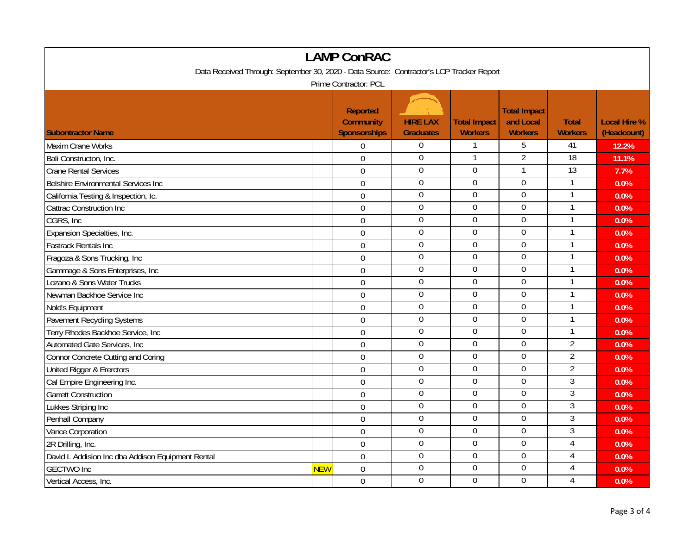| <b>LAMP ConRAC</b>                                                                       |            |                                                            |                                     |                                       |                                                    |                                |                                    |  |
|------------------------------------------------------------------------------------------|------------|------------------------------------------------------------|-------------------------------------|---------------------------------------|----------------------------------------------------|--------------------------------|------------------------------------|--|
| Data Received Through: September 30, 2020 - Data Source: Contractor's LCP Tracker Report |            |                                                            |                                     |                                       |                                                    |                                |                                    |  |
| Prime Contractor: PCL                                                                    |            |                                                            |                                     |                                       |                                                    |                                |                                    |  |
| <b>Subontractor Name</b>                                                                 |            | <b>Reported</b><br><b>Community</b><br><b>Sponsorships</b> | <b>HIRE LAX</b><br><b>Graduates</b> | <b>Total Impact</b><br><b>Workers</b> | <b>Total Impact</b><br>and Local<br><b>Workers</b> | <b>Total</b><br><b>Workers</b> | <b>Local Hire %</b><br>(Headcount) |  |
| Maxim Crane Works                                                                        |            | $\mathbf 0$                                                | $\overline{0}$                      | $\mathbf{1}$                          | 5                                                  | 41                             | 12.2%                              |  |
| Bali Constructon, Inc.                                                                   |            | $\overline{0}$                                             | $\mathbf 0$                         | $\mathbf{1}$                          | $\overline{2}$                                     | 18                             | 11.1%                              |  |
| <b>Crane Rental Services</b>                                                             |            | $\mathbf 0$                                                | $\overline{0}$                      | $\mathbf 0$                           |                                                    | 13                             | 7.7%                               |  |
| Belshire Environmental Services Inc                                                      |            | $\mathbf 0$                                                | $\boldsymbol{0}$                    | $\overline{0}$                        | $\overline{0}$                                     | $\mathbf{1}$                   | 0.0%                               |  |
| California Testing & Inspection, Ic.                                                     |            | $\mathbf 0$                                                | $\boldsymbol{0}$                    | $\mathbf 0$                           | $\overline{0}$                                     | 1                              | 0.0%                               |  |
| Cattrac Construction Inc                                                                 |            | $\boldsymbol{0}$                                           | $\overline{0}$                      | $\mathbf 0$                           | $\overline{0}$                                     | 1                              | 0.0%                               |  |
| CGRS, Inc                                                                                |            | $\mathbf 0$                                                | $\boldsymbol{0}$                    | $\mathbf 0$                           | $\overline{0}$                                     |                                | 0.0%                               |  |
| Expansion Specialties, Inc.                                                              |            | $\overline{0}$                                             | $\mathbf 0$                         | $\overline{0}$                        | $\overline{0}$                                     |                                | 0.0%                               |  |
| <b>Fastrack Rentals Inc</b>                                                              |            | $\overline{0}$                                             | $\mathbf 0$                         | $\mathbf 0$                           | $\mathbf 0$                                        | $\mathbf{1}$                   | 0.0%                               |  |
| Fragoza & Sons Trucking, Inc                                                             |            | $\mathbf 0$                                                | $\overline{0}$                      | $\overline{0}$                        | $\overline{0}$                                     | $\mathbf{1}$                   | 0.0%                               |  |
| Gammage & Sons Enterprises, Inc                                                          |            | $\mathbf 0$                                                | $\mathbf 0$                         | $\mathbf 0$                           | $\mathbf 0$                                        |                                | 0.0%                               |  |
| Lozano & Sons Water Trucks                                                               |            | $\overline{0}$                                             | $\mathbf 0$                         | $\mathbf 0$                           | $\overline{0}$                                     | 1                              | 0.0%                               |  |
| Newman Backhoe Service Inc                                                               |            | $\mathbf 0$                                                | $\mathbf 0$                         | $\mathbf 0$                           | $\mathbf 0$                                        | $\mathbf{1}$                   | 0.0%                               |  |
| Nold's Equipment                                                                         |            | $\mathbf 0$                                                | $\boldsymbol{0}$                    | $\boldsymbol{0}$                      | $\boldsymbol{0}$                                   | $\mathbf{1}$                   | 0.0%                               |  |
| Pavement Recycling Systems                                                               |            | $\overline{0}$                                             | $\mathbf 0$                         | $\mathbf 0$                           | $\mathbf 0$                                        | 1                              | 0.0%                               |  |
| Terry Rhodes Backhoe Service, Inc                                                        |            | $\mathbf 0$                                                | $\mathbf 0$                         | $\mathbf 0$                           | $\mathbf 0$                                        | 1                              | 0.0%                               |  |
| Automated Gate Services, Inc.                                                            |            | 0                                                          | $\boldsymbol{0}$                    | $\mathbf 0$                           | $\mathbf 0$                                        | $\overline{2}$                 | 0.0%                               |  |
| Connor Concrete Cutting and Coring                                                       |            | $\overline{0}$                                             | $\mathbf 0$                         | $\mathbf 0$                           | $\mathbf 0$                                        | $\overline{2}$                 | 0.0%                               |  |
| United Rigger & Ererctors                                                                |            | $\mathbf 0$                                                | $\mathbf 0$                         | $\mathbf 0$                           | $\overline{0}$                                     | $\overline{2}$                 | 0.0%                               |  |
| Cal Empire Engineering Inc.                                                              |            | $\overline{0}$                                             | $\overline{0}$                      | $\overline{0}$                        | $\overline{0}$                                     | $\overline{3}$                 | 0.0%                               |  |
| <b>Garrett Construction</b>                                                              |            | $\overline{0}$                                             | $\mathbf 0$                         | $\mathbf 0$                           | $\mathbf 0$                                        | $\overline{3}$                 | 0.0%                               |  |
| Lukkes Striping Inc                                                                      |            | $\mathbf 0$                                                | $\overline{0}$                      | $\overline{0}$                        | $\overline{0}$                                     | 3                              | 0.0%                               |  |
| Penhall Company                                                                          |            | $\mathbf 0$                                                | $\mathbf 0$                         | $\mathbf 0$                           | $\mathbf 0$                                        | $\mathfrak{Z}$                 | 0.0%                               |  |
| Vance Corporation                                                                        |            | $\overline{0}$                                             | $\overline{0}$                      | $\overline{0}$                        | $\overline{0}$                                     | $\overline{3}$                 | 0.0%                               |  |
| 2R Drilling, Inc.                                                                        |            | $\boldsymbol{0}$                                           | $\mathbf 0$                         | $\mathbf 0$                           | $\mathbf 0$                                        | $\overline{4}$                 | 0.0%                               |  |
| David L Addision Inc dba Addison Equipment Rental                                        |            | $\mathbf 0$                                                | $\boldsymbol{0}$                    | $\boldsymbol{0}$                      | $\boldsymbol{0}$                                   | $\overline{4}$                 | 0.0%                               |  |
| <b>GECTWO</b> Inc                                                                        | <b>NEW</b> | $\mathbf 0$                                                | $\mathbf 0$                         | $\boldsymbol{0}$                      | 0                                                  | 4                              | 0.0%                               |  |
| Vertical Access, Inc.                                                                    |            | $\mathbf 0$                                                | $\mathbf 0$                         | $\overline{0}$                        | $\overline{0}$                                     | 4                              | 0.0%                               |  |